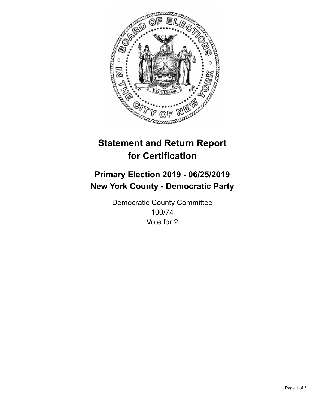

## **Statement and Return Report for Certification**

## **Primary Election 2019 - 06/25/2019 New York County - Democratic Party**

Democratic County Committee 100/74 Vote for 2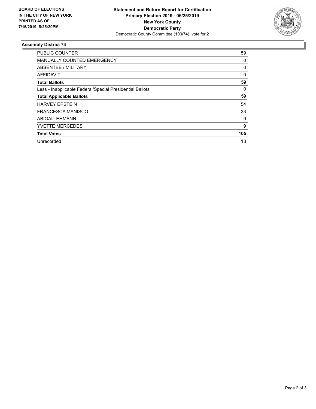

## **Assembly District 74**

| <b>PUBLIC COUNTER</b>                                    | 59       |
|----------------------------------------------------------|----------|
| <b>MANUALLY COUNTED EMERGENCY</b>                        | 0        |
| ABSENTEE / MILITARY                                      | 0        |
| AFFIDAVIT                                                | $\Omega$ |
| <b>Total Ballots</b>                                     | 59       |
| Less - Inapplicable Federal/Special Presidential Ballots | 0        |
| <b>Total Applicable Ballots</b>                          | 59       |
| <b>HARVEY EPSTEIN</b>                                    | 54       |
| <b>FRANCESCA MANISCO</b>                                 | 33       |
| <b>ABIGAIL EHMANN</b>                                    | 9        |
| <b>YVETTE MERCEDES</b>                                   | 9        |
| <b>Total Votes</b>                                       | 105      |
| Unrecorded                                               | 13       |